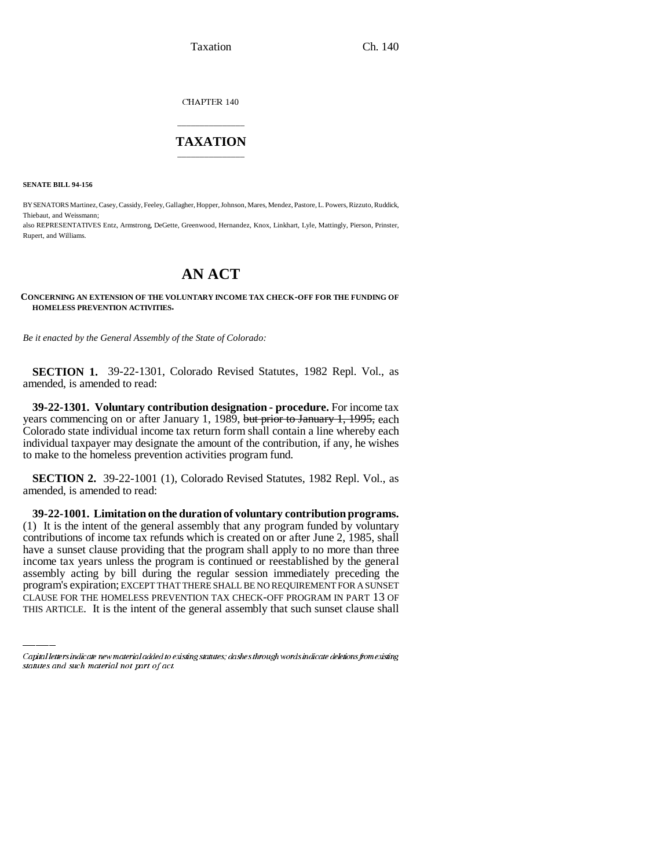CHAPTER 140

### \_\_\_\_\_\_\_\_\_\_\_\_\_\_\_ **TAXATION** \_\_\_\_\_\_\_\_\_\_\_\_\_\_\_

**SENATE BILL 94-156**

BY SENATORS Martinez, Casey, Cassidy, Feeley, Gallagher, Hopper, Johnson, Mares, Mendez, Pastore, L. Powers, Rizzuto, Ruddick, Thiebaut, and Weissmann; also REPRESENTATIVES Entz, Armstrong, DeGette, Greenwood, Hernandez, Knox, Linkhart, Lyle, Mattingly, Pierson, Prinster,

Rupert, and Williams.

# **AN ACT**

### **CONCERNING AN EXTENSION OF THE VOLUNTARY INCOME TAX CHECK-OFF FOR THE FUNDING OF HOMELESS PREVENTION ACTIVITIES.**

*Be it enacted by the General Assembly of the State of Colorado:*

**SECTION 1.** 39-22-1301, Colorado Revised Statutes, 1982 Repl. Vol., as amended, is amended to read:

**39-22-1301. Voluntary contribution designation - procedure.** For income tax years commencing on or after January 1, 1989, but prior to January 1, 1995, each Colorado state individual income tax return form shall contain a line whereby each individual taxpayer may designate the amount of the contribution, if any, he wishes to make to the homeless prevention activities program fund.

**SECTION 2.** 39-22-1001 (1), Colorado Revised Statutes, 1982 Repl. Vol., as amended, is amended to read:

income tax years unless the program is continued or reestablished by the general **39-22-1001. Limitation on the duration of voluntary contribution programs.** (1) It is the intent of the general assembly that any program funded by voluntary contributions of income tax refunds which is created on or after June 2, 1985, shall have a sunset clause providing that the program shall apply to no more than three assembly acting by bill during the regular session immediately preceding the program's expiration; EXCEPT THAT THERE SHALL BE NO REQUIREMENT FOR A SUNSET CLAUSE FOR THE HOMELESS PREVENTION TAX CHECK-OFF PROGRAM IN PART 13 OF THIS ARTICLE. It is the intent of the general assembly that such sunset clause shall

Capital letters indicate new material added to existing statutes; dashes through words indicate deletions from existing statutes and such material not part of act.